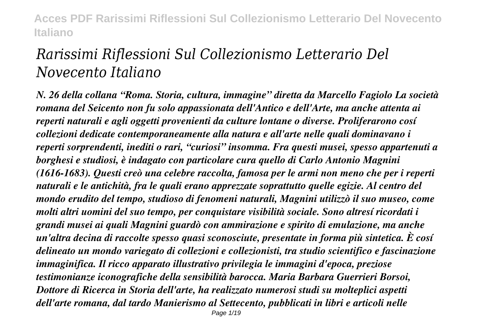# *Rarissimi Riflessioni Sul Collezionismo Letterario Del Novecento Italiano*

*N. 26 della collana "Roma. Storia, cultura, immagine" diretta da Marcello Fagiolo La società romana del Seicento non fu solo appassionata dell'Antico e dell'Arte, ma anche attenta ai reperti naturali e agli oggetti provenienti da culture lontane o diverse. Proliferarono cosí collezioni dedicate contemporaneamente alla natura e all'arte nelle quali dominavano i reperti sorprendenti, inediti o rari, "curiosi" insomma. Fra questi musei, spesso appartenuti a borghesi e studiosi, è indagato con particolare cura quello di Carlo Antonio Magnini (1616-1683). Questi creò una celebre raccolta, famosa per le armi non meno che per i reperti naturali e le antichità, fra le quali erano apprezzate soprattutto quelle egizie. Al centro del mondo erudito del tempo, studioso di fenomeni naturali, Magnini utilizzò il suo museo, come molti altri uomini del suo tempo, per conquistare visibilità sociale. Sono altresí ricordati i grandi musei ai quali Magnini guardò con ammirazione e spirito di emulazione, ma anche un'altra decina di raccolte spesso quasi sconosciute, presentate in forma più sintetica. È cosí delineato un mondo variegato di collezioni e collezionisti, tra studio scientifico e fascinazione immaginifica. Il ricco apparato illustrativo privilegia le immagini d'epoca, preziose testimonianze iconografiche della sensibilità barocca. Maria Barbara Guerrieri Borsoi, Dottore di Ricerca in Storia dell'arte, ha realizzato numerosi studi su molteplici aspetti dell'arte romana, dal tardo Manierismo al Settecento, pubblicati in libri e articoli nelle* Page 1/19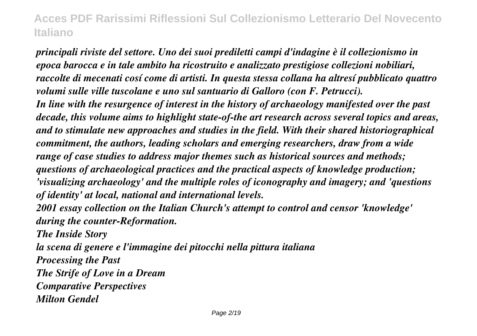*principali riviste del settore. Uno dei suoi prediletti campi d'indagine è il collezionismo in epoca barocca e in tale ambito ha ricostruito e analizzato prestigiose collezioni nobiliari, raccolte di mecenati cosí come di artisti. In questa stessa collana ha altresí pubblicato quattro volumi sulle ville tuscolane e uno sul santuario di Galloro (con F. Petrucci). In line with the resurgence of interest in the history of archaeology manifested over the past decade, this volume aims to highlight state-of-the art research across several topics and areas, and to stimulate new approaches and studies in the field. With their shared historiographical commitment, the authors, leading scholars and emerging researchers, draw from a wide range of case studies to address major themes such as historical sources and methods; questions of archaeological practices and the practical aspects of knowledge production; 'visualizing archaeology' and the multiple roles of iconography and imagery; and 'questions of identity' at local, national and international levels.*

*2001 essay collection on the Italian Church's attempt to control and censor 'knowledge' during the counter-Reformation.*

*The Inside Story la scena di genere e l'immagine dei pitocchi nella pittura italiana Processing the Past The Strife of Love in a Dream Comparative Perspectives Milton Gendel*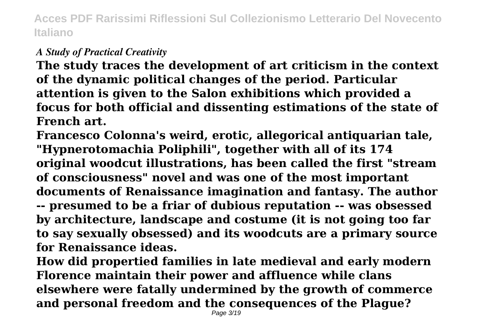#### *A Study of Practical Creativity*

**The study traces the development of art criticism in the context of the dynamic political changes of the period. Particular attention is given to the Salon exhibitions which provided a focus for both official and dissenting estimations of the state of French art.**

**Francesco Colonna's weird, erotic, allegorical antiquarian tale, "Hypnerotomachia Poliphili", together with all of its 174 original woodcut illustrations, has been called the first "stream of consciousness" novel and was one of the most important documents of Renaissance imagination and fantasy. The author -- presumed to be a friar of dubious reputation -- was obsessed by architecture, landscape and costume (it is not going too far to say sexually obsessed) and its woodcuts are a primary source for Renaissance ideas.**

**How did propertied families in late medieval and early modern Florence maintain their power and affluence while clans elsewhere were fatally undermined by the growth of commerce and personal freedom and the consequences of the Plague?**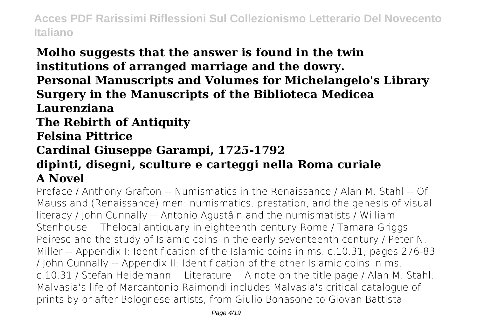# **Molho suggests that the answer is found in the twin institutions of arranged marriage and the dowry.**

**Personal Manuscripts and Volumes for Michelangelo's Library Surgery in the Manuscripts of the Biblioteca Medicea**

#### **Laurenziana**

**The Rebirth of Antiquity**

#### **Felsina Pittrice**

## **Cardinal Giuseppe Garampi, 1725-1792**

#### **dipinti, disegni, sculture e carteggi nella Roma curiale A Novel**

Preface / Anthony Grafton -- Numismatics in the Renaissance / Alan M. Stahl -- Of Mauss and (Renaissance) men: numismatics, prestation, and the genesis of visual literacy / John Cunnally -- Antonio Agustâin and the numismatists / William Stenhouse -- Thelocal antiquary in eighteenth-century Rome / Tamara Griggs -- Peiresc and the study of Islamic coins in the early seventeenth century / Peter N. Miller -- Appendix I: Identification of the Islamic coins in ms. c.10.31, pages 276-83 / John Cunnally -- Appendix II: Identification of the other Islamic coins in ms. c.10.31 / Stefan Heidemann -- Literature -- A note on the title page / Alan M. Stahl. Malvasia's life of Marcantonio Raimondi includes Malvasia's critical catalogue of prints by or after Bolognese artists, from Giulio Bonasone to Giovan Battista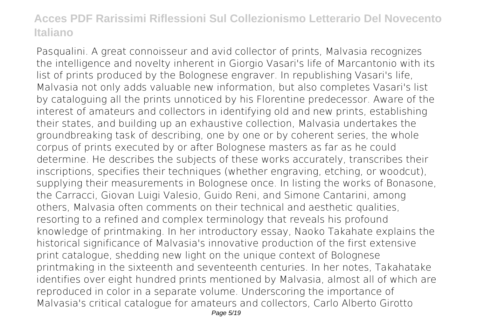Pasqualini. A great connoisseur and avid collector of prints, Malvasia recognizes the intelligence and novelty inherent in Giorgio Vasari's life of Marcantonio with its list of prints produced by the Bolognese engraver. In republishing Vasari's life, Malvasia not only adds valuable new information, but also completes Vasari's list by cataloguing all the prints unnoticed by his Florentine predecessor. Aware of the interest of amateurs and collectors in identifying old and new prints, establishing their states, and building up an exhaustive collection, Malvasia undertakes the groundbreaking task of describing, one by one or by coherent series, the whole corpus of prints executed by or after Bolognese masters as far as he could determine. He describes the subjects of these works accurately, transcribes their inscriptions, specifies their techniques (whether engraving, etching, or woodcut), supplying their measurements in Bolognese once. In listing the works of Bonasone, the Carracci, Giovan Luigi Valesio, Guido Reni, and Simone Cantarini, among others, Malvasia often comments on their technical and aesthetic qualities, resorting to a refined and complex terminology that reveals his profound knowledge of printmaking. In her introductory essay, Naoko Takahate explains the historical significance of Malvasia's innovative production of the first extensive print catalogue, shedding new light on the unique context of Bolognese printmaking in the sixteenth and seventeenth centuries. In her notes, Takahatake identifies over eight hundred prints mentioned by Malvasia, almost all of which are reproduced in color in a separate volume. Underscoring the importance of Malvasia's critical catalogue for amateurs and collectors, Carlo Alberto Girotto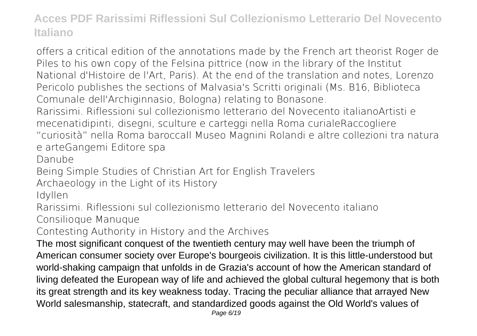offers a critical edition of the annotations made by the French art theorist Roger de Piles to his own copy of the Felsina pittrice (now in the library of the Institut National d'Histoire de l'Art, Paris). At the end of the translation and notes, Lorenzo Pericolo publishes the sections of Malvasia's Scritti originali (Ms. B16, Biblioteca Comunale dell'Archiginnasio, Bologna) relating to Bonasone.

Rarissimi. Riflessioni sul collezionismo letterario del Novecento italianoArtisti e mecenatidipinti, disegni, sculture e carteggi nella Roma curialeRaccogliere "curiosità" nella Roma baroccaIl Museo Magnini Rolandi e altre collezioni tra natura e arteGangemi Editore spa

Danube

Being Simple Studies of Christian Art for English Travelers

Archaeology in the Light of its History

Idyllen

Rarissimi. Riflessioni sul collezionismo letterario del Novecento italiano Consilioque Manuque

Contesting Authority in History and the Archives

The most significant conquest of the twentieth century may well have been the triumph of American consumer society over Europe's bourgeois civilization. It is this little-understood but world-shaking campaign that unfolds in de Grazia's account of how the American standard of living defeated the European way of life and achieved the global cultural hegemony that is both its great strength and its key weakness today. Tracing the peculiar alliance that arrayed New World salesmanship, statecraft, and standardized goods against the Old World's values of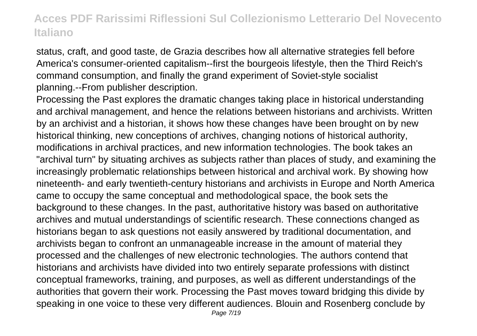status, craft, and good taste, de Grazia describes how all alternative strategies fell before America's consumer-oriented capitalism--first the bourgeois lifestyle, then the Third Reich's command consumption, and finally the grand experiment of Soviet-style socialist planning.--From publisher description.

Processing the Past explores the dramatic changes taking place in historical understanding and archival management, and hence the relations between historians and archivists. Written by an archivist and a historian, it shows how these changes have been brought on by new historical thinking, new conceptions of archives, changing notions of historical authority, modifications in archival practices, and new information technologies. The book takes an "archival turn" by situating archives as subjects rather than places of study, and examining the increasingly problematic relationships between historical and archival work. By showing how nineteenth- and early twentieth-century historians and archivists in Europe and North America came to occupy the same conceptual and methodological space, the book sets the background to these changes. In the past, authoritative history was based on authoritative archives and mutual understandings of scientific research. These connections changed as historians began to ask questions not easily answered by traditional documentation, and archivists began to confront an unmanageable increase in the amount of material they processed and the challenges of new electronic technologies. The authors contend that historians and archivists have divided into two entirely separate professions with distinct conceptual frameworks, training, and purposes, as well as different understandings of the authorities that govern their work. Processing the Past moves toward bridging this divide by speaking in one voice to these very different audiences. Blouin and Rosenberg conclude by Page 7/19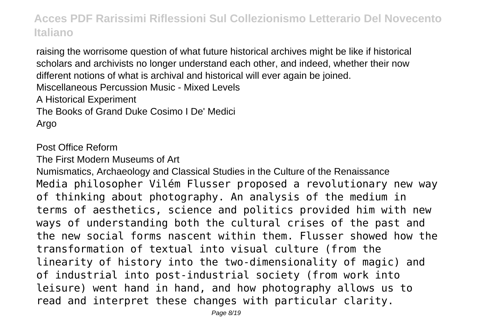raising the worrisome question of what future historical archives might be like if historical scholars and archivists no longer understand each other, and indeed, whether their now different notions of what is archival and historical will ever again be joined. Miscellaneous Percussion Music - Mixed Levels A Historical Experiment The Books of Grand Duke Cosimo I De' Medici Argo

Post Office Reform

The First Modern Museums of Art

Numismatics, Archaeology and Classical Studies in the Culture of the Renaissance Media philosopher Vilém Flusser proposed a revolutionary new way of thinking about photography. An analysis of the medium in terms of aesthetics, science and politics provided him with new ways of understanding both the cultural crises of the past and the new social forms nascent within them. Flusser showed how the transformation of textual into visual culture (from the linearity of history into the two-dimensionality of magic) and of industrial into post-industrial society (from work into leisure) went hand in hand, and how photography allows us to read and interpret these changes with particular clarity.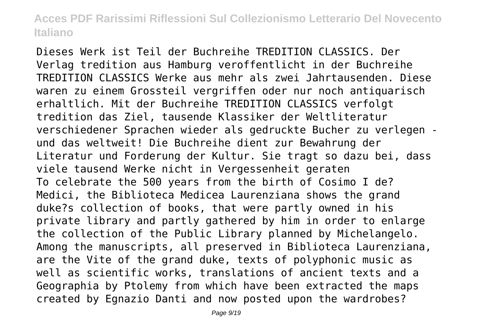Dieses Werk ist Teil der Buchreihe TREDITION CLASSICS. Der Verlag tredition aus Hamburg veroffentlicht in der Buchreihe TREDITION CLASSICS Werke aus mehr als zwei Jahrtausenden. Diese waren zu einem Grossteil vergriffen oder nur noch antiquarisch erhaltlich. Mit der Buchreihe TREDITION CLASSICS verfolgt tredition das Ziel, tausende Klassiker der Weltliteratur verschiedener Sprachen wieder als gedruckte Bucher zu verlegen und das weltweit! Die Buchreihe dient zur Bewahrung der Literatur und Forderung der Kultur. Sie tragt so dazu bei, dass viele tausend Werke nicht in Vergessenheit geraten To celebrate the 500 years from the birth of Cosimo I de? Medici, the Biblioteca Medicea Laurenziana shows the grand duke?s collection of books, that were partly owned in his private library and partly gathered by him in order to enlarge the collection of the Public Library planned by Michelangelo. Among the manuscripts, all preserved in Biblioteca Laurenziana, are the Vite of the grand duke, texts of polyphonic music as well as scientific works, translations of ancient texts and a Geographia by Ptolemy from which have been extracted the maps created by Egnazio Danti and now posted upon the wardrobes?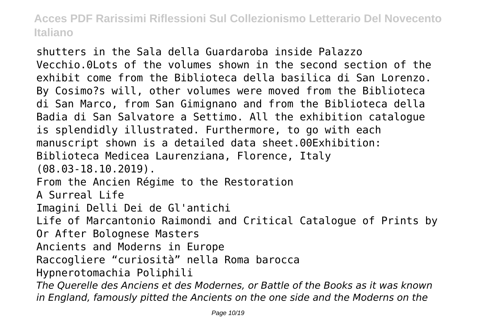shutters in the Sala della Guardaroba inside Palazzo Vecchio.0Lots of the volumes shown in the second section of the exhibit come from the Biblioteca della basilica di San Lorenzo. By Cosimo?s will, other volumes were moved from the Biblioteca di San Marco, from San Gimignano and from the Biblioteca della Badia di San Salvatore a Settimo. All the exhibition catalogue is splendidly illustrated. Furthermore, to go with each manuscript shown is a detailed data sheet.00Exhibition: Biblioteca Medicea Laurenziana, Florence, Italy (08.03-18.10.2019). From the Ancien Régime to the Restoration A Surreal Life Imagini Delli Dei de Gl'antichi Life of Marcantonio Raimondi and Critical Catalogue of Prints by Or After Bolognese Masters Ancients and Moderns in Europe Raccogliere "curiosità" nella Roma barocca Hypnerotomachia Poliphili *The Querelle des Anciens et des Modernes, or Battle of the Books as it was known in England, famously pitted the Ancients on the one side and the Moderns on the*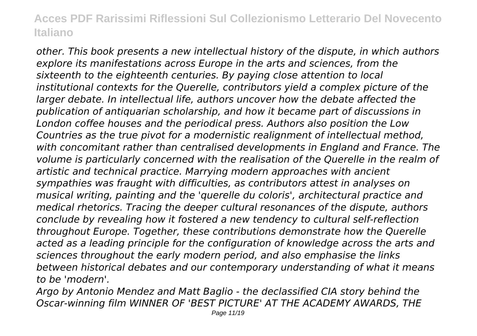*other. This book presents a new intellectual history of the dispute, in which authors explore its manifestations across Europe in the arts and sciences, from the sixteenth to the eighteenth centuries. By paying close attention to local institutional contexts for the Querelle, contributors yield a complex picture of the larger debate. In intellectual life, authors uncover how the debate affected the publication of antiquarian scholarship, and how it became part of discussions in London coffee houses and the periodical press. Authors also position the Low Countries as the true pivot for a modernistic realignment of intellectual method, with concomitant rather than centralised developments in England and France. The volume is particularly concerned with the realisation of the Querelle in the realm of artistic and technical practice. Marrying modern approaches with ancient sympathies was fraught with difficulties, as contributors attest in analyses on musical writing, painting and the 'querelle du coloris', architectural practice and medical rhetorics. Tracing the deeper cultural resonances of the dispute, authors conclude by revealing how it fostered a new tendency to cultural self-reflection throughout Europe. Together, these contributions demonstrate how the Querelle acted as a leading principle for the configuration of knowledge across the arts and sciences throughout the early modern period, and also emphasise the links between historical debates and our contemporary understanding of what it means to be 'modern'.*

*Argo by Antonio Mendez and Matt Baglio - the declassified CIA story behind the Oscar-winning film WINNER OF 'BEST PICTURE' AT THE ACADEMY AWARDS, THE*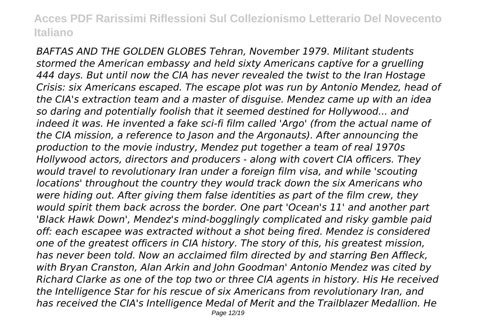*BAFTAS AND THE GOLDEN GLOBES Tehran, November 1979. Militant students stormed the American embassy and held sixty Americans captive for a gruelling 444 days. But until now the CIA has never revealed the twist to the Iran Hostage Crisis: six Americans escaped. The escape plot was run by Antonio Mendez, head of the CIA's extraction team and a master of disguise. Mendez came up with an idea so daring and potentially foolish that it seemed destined for Hollywood... and indeed it was. He invented a fake sci-fi film called 'Argo' (from the actual name of the CIA mission, a reference to Jason and the Argonauts). After announcing the production to the movie industry, Mendez put together a team of real 1970s Hollywood actors, directors and producers - along with covert CIA officers. They would travel to revolutionary Iran under a foreign film visa, and while 'scouting locations' throughout the country they would track down the six Americans who were hiding out. After giving them false identities as part of the film crew, they would spirit them back across the border. One part 'Ocean's 11' and another part 'Black Hawk Down', Mendez's mind-bogglingly complicated and risky gamble paid off: each escapee was extracted without a shot being fired. Mendez is considered one of the greatest officers in CIA history. The story of this, his greatest mission, has never been told. Now an acclaimed film directed by and starring Ben Affleck, with Bryan Cranston, Alan Arkin and John Goodman' Antonio Mendez was cited by Richard Clarke as one of the top two or three CIA agents in history. His He received the Intelligence Star for his rescue of six Americans from revolutionary Iran, and has received the CIA's Intelligence Medal of Merit and the Trailblazer Medallion. He*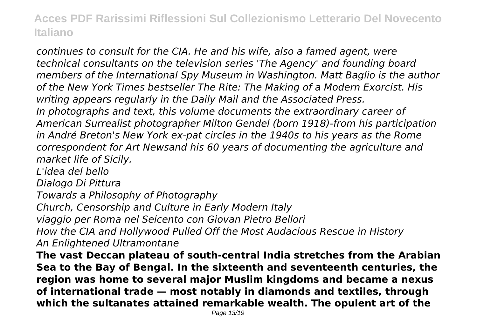*continues to consult for the CIA. He and his wife, also a famed agent, were technical consultants on the television series 'The Agency' and founding board members of the International Spy Museum in Washington. Matt Baglio is the author of the New York Times bestseller The Rite: The Making of a Modern Exorcist. His writing appears regularly in the Daily Mail and the Associated Press. In photographs and text, this volume documents the extraordinary career of American Surrealist photographer Milton Gendel (born 1918)-from his participation in André Breton's New York ex-pat circles in the 1940s to his years as the Rome correspondent for Art Newsand his 60 years of documenting the agriculture and market life of Sicily.*

*L'idea del bello*

*Dialogo Di Pittura*

*Towards a Philosophy of Photography*

*Church, Censorship and Culture in Early Modern Italy*

*viaggio per Roma nel Seicento con Giovan Pietro Bellori*

*How the CIA and Hollywood Pulled Off the Most Audacious Rescue in History An Enlightened Ultramontane*

**The vast Deccan plateau of south-central India stretches from the Arabian Sea to the Bay of Bengal. In the sixteenth and seventeenth centuries, the region was home to several major Muslim kingdoms and became a nexus of international trade — most notably in diamonds and textiles, through which the sultanates attained remarkable wealth. The opulent art of the**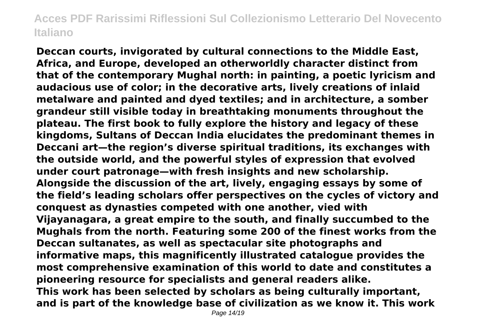**Deccan courts, invigorated by cultural connections to the Middle East, Africa, and Europe, developed an otherworldly character distinct from that of the contemporary Mughal north: in painting, a poetic lyricism and audacious use of color; in the decorative arts, lively creations of inlaid metalware and painted and dyed textiles; and in architecture, a somber grandeur still visible today in breathtaking monuments throughout the plateau. The first book to fully explore the history and legacy of these kingdoms, Sultans of Deccan India elucidates the predominant themes in Deccani art—the region's diverse spiritual traditions, its exchanges with the outside world, and the powerful styles of expression that evolved under court patronage—with fresh insights and new scholarship. Alongside the discussion of the art, lively, engaging essays by some of the field's leading scholars offer perspectives on the cycles of victory and conquest as dynasties competed with one another, vied with Vijayanagara, a great empire to the south, and finally succumbed to the Mughals from the north. Featuring some 200 of the finest works from the Deccan sultanates, as well as spectacular site photographs and informative maps, this magnificently illustrated catalogue provides the most comprehensive examination of this world to date and constitutes a pioneering resource for specialists and general readers alike. This work has been selected by scholars as being culturally important, and is part of the knowledge base of civilization as we know it. This work**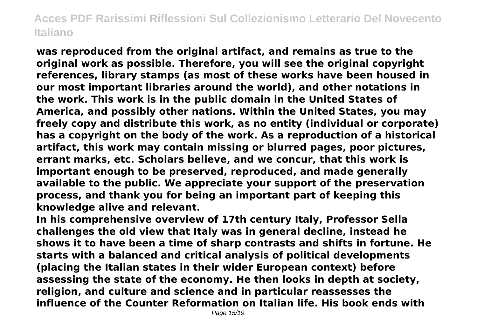**was reproduced from the original artifact, and remains as true to the original work as possible. Therefore, you will see the original copyright references, library stamps (as most of these works have been housed in our most important libraries around the world), and other notations in the work. This work is in the public domain in the United States of America, and possibly other nations. Within the United States, you may freely copy and distribute this work, as no entity (individual or corporate) has a copyright on the body of the work. As a reproduction of a historical artifact, this work may contain missing or blurred pages, poor pictures, errant marks, etc. Scholars believe, and we concur, that this work is important enough to be preserved, reproduced, and made generally available to the public. We appreciate your support of the preservation process, and thank you for being an important part of keeping this knowledge alive and relevant.**

**In his comprehensive overview of 17th century Italy, Professor Sella challenges the old view that Italy was in general decline, instead he shows it to have been a time of sharp contrasts and shifts in fortune. He starts with a balanced and critical analysis of political developments (placing the Italian states in their wider European context) before assessing the state of the economy. He then looks in depth at society, religion, and culture and science and in particular reassesses the influence of the Counter Reformation on Italian life. His book ends with**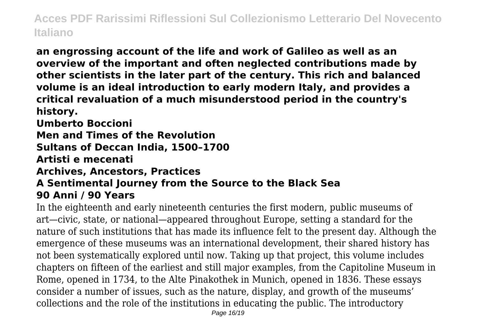**an engrossing account of the life and work of Galileo as well as an overview of the important and often neglected contributions made by other scientists in the later part of the century. This rich and balanced volume is an ideal introduction to early modern Italy, and provides a critical revaluation of a much misunderstood period in the country's history.**

**Umberto Boccioni**

**Men and Times of the Revolution**

**Sultans of Deccan India, 1500–1700**

**Artisti e mecenati**

**Archives, Ancestors, Practices**

#### **A Sentimental Journey from the Source to the Black Sea 90 Anni / 90 Years**

In the eighteenth and early nineteenth centuries the first modern, public museums of art—civic, state, or national—appeared throughout Europe, setting a standard for the nature of such institutions that has made its influence felt to the present day. Although the emergence of these museums was an international development, their shared history has not been systematically explored until now. Taking up that project, this volume includes chapters on fifteen of the earliest and still major examples, from the Capitoline Museum in Rome, opened in 1734, to the Alte Pinakothek in Munich, opened in 1836. These essays consider a number of issues, such as the nature, display, and growth of the museums' collections and the role of the institutions in educating the public. The introductory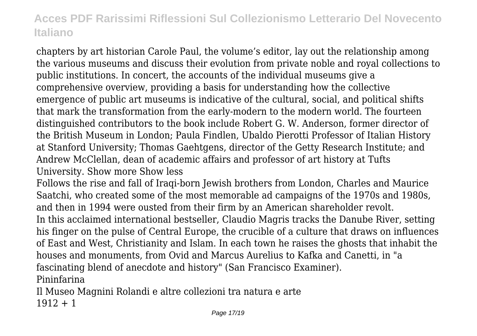chapters by art historian Carole Paul, the volume's editor, lay out the relationship among the various museums and discuss their evolution from private noble and royal collections to public institutions. In concert, the accounts of the individual museums give a comprehensive overview, providing a basis for understanding how the collective emergence of public art museums is indicative of the cultural, social, and political shifts that mark the transformation from the early-modern to the modern world. The fourteen distinguished contributors to the book include Robert G. W. Anderson, former director of the British Museum in London; Paula Findlen, Ubaldo Pierotti Professor of Italian History at Stanford University; Thomas Gaehtgens, director of the Getty Research Institute; and Andrew McClellan, dean of academic affairs and professor of art history at Tufts University. Show more Show less

Follows the rise and fall of Iraqi-born Jewish brothers from London, Charles and Maurice Saatchi, who created some of the most memorable ad campaigns of the 1970s and 1980s, and then in 1994 were ousted from their firm by an American shareholder revolt. In this acclaimed international bestseller, Claudio Magris tracks the Danube River, setting his finger on the pulse of Central Europe, the crucible of a culture that draws on influences of East and West, Christianity and Islam. In each town he raises the ghosts that inhabit the houses and monuments, from Ovid and Marcus Aurelius to Kafka and Canetti, in "a fascinating blend of anecdote and history" (San Francisco Examiner). Pininfarina

Il Museo Magnini Rolandi e altre collezioni tra natura e arte  $1912 + 1$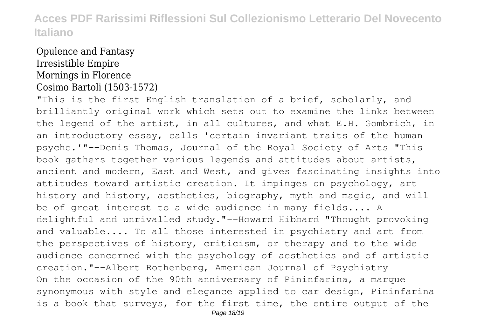#### Opulence and Fantasy Irresistible Empire Mornings in Florence Cosimo Bartoli (1503-1572)

"This is the first English translation of a brief, scholarly, and brilliantly original work which sets out to examine the links between the legend of the artist, in all cultures, and what E.H. Gombrich, in an introductory essay, calls 'certain invariant traits of the human psyche.'"--Denis Thomas, Journal of the Royal Society of Arts "This book gathers together various legends and attitudes about artists, ancient and modern, East and West, and gives fascinating insights into attitudes toward artistic creation. It impinges on psychology, art history and history, aesthetics, biography, myth and magic, and will be of great interest to a wide audience in many fields.... A delightful and unrivalled study."--Howard Hibbard "Thought provoking and valuable.... To all those interested in psychiatry and art from the perspectives of history, criticism, or therapy and to the wide audience concerned with the psychology of aesthetics and of artistic creation."--Albert Rothenberg, American Journal of Psychiatry On the occasion of the 90th anniversary of Pininfarina, a marque synonymous with style and elegance applied to car design, Pininfarina is a book that surveys, for the first time, the entire output of the